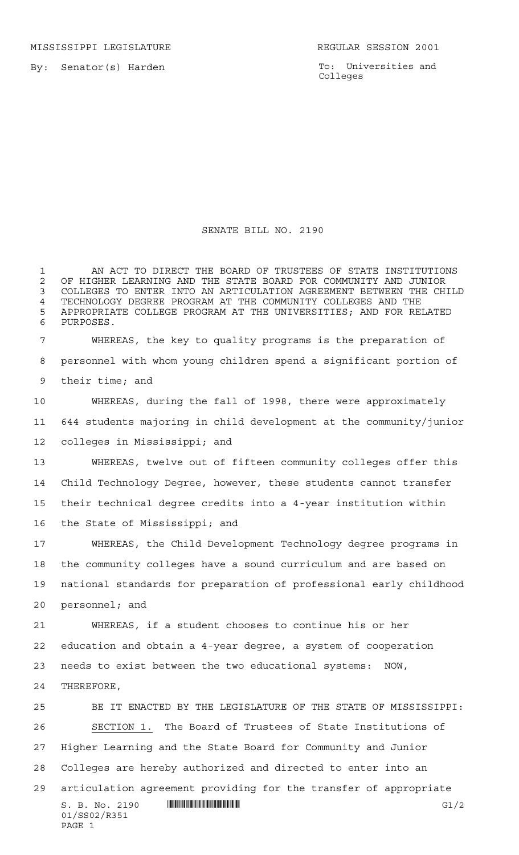MISSISSIPPI LEGISLATURE **REGULAR SESSION 2001** 

By: Senator(s) Harden

PAGE 1

To: Universities and Colleges

## SENATE BILL NO. 2190

 AN ACT TO DIRECT THE BOARD OF TRUSTEES OF STATE INSTITUTIONS OF HIGHER LEARNING AND THE STATE BOARD FOR COMMUNITY AND JUNIOR COLLEGES TO ENTER INTO AN ARTICULATION AGREEMENT BETWEEN THE CHILD 4 TECHNOLOGY DEGREE PROGRAM AT THE COMMUNITY COLLEGES AND THE 1999 FOR THE SERVICES AND THE COLLEGES AND FOR RE APPROPRIATE COLLEGE PROGRAM AT THE UNIVERSITIES; AND FOR RELATED PURPOSES. WHEREAS, the key to quality programs is the preparation of personnel with whom young children spend a significant portion of their time; and

 WHEREAS, during the fall of 1998, there were approximately 644 students majoring in child development at the community/junior colleges in Mississippi; and

 WHEREAS, twelve out of fifteen community colleges offer this Child Technology Degree, however, these students cannot transfer their technical degree credits into a 4-year institution within the State of Mississippi; and

 WHEREAS, the Child Development Technology degree programs in the community colleges have a sound curriculum and are based on national standards for preparation of professional early childhood personnel; and

 WHEREAS, if a student chooses to continue his or her education and obtain a 4-year degree, a system of cooperation needs to exist between the two educational systems: NOW, THEREFORE,

S. B. No. 2190 \*SS02/R351\* G1/2 01/SS02/R351 BE IT ENACTED BY THE LEGISLATURE OF THE STATE OF MISSISSIPPI: SECTION 1. The Board of Trustees of State Institutions of Higher Learning and the State Board for Community and Junior Colleges are hereby authorized and directed to enter into an articulation agreement providing for the transfer of appropriate